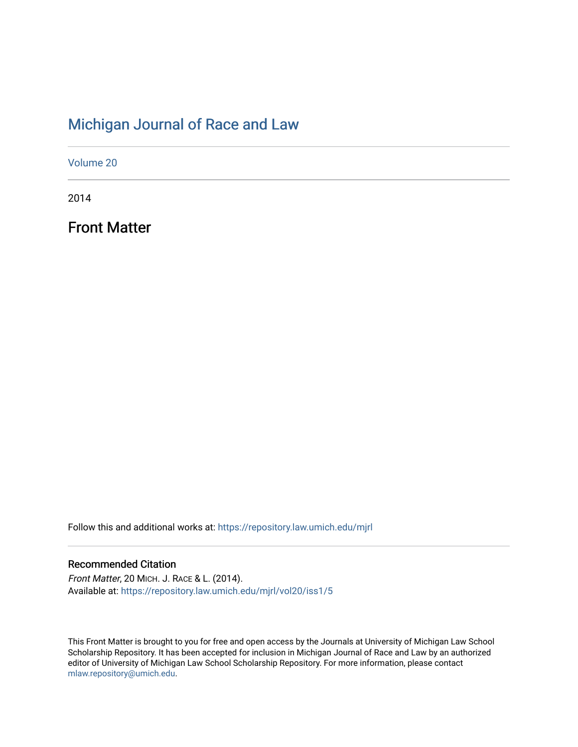# [Michigan Journal of Race and Law](https://repository.law.umich.edu/mjrl)

[Volume 20](https://repository.law.umich.edu/mjrl/vol20)

2014

Front Matter

Follow this and additional works at: [https://repository.law.umich.edu/mjrl](https://repository.law.umich.edu/mjrl?utm_source=repository.law.umich.edu%2Fmjrl%2Fvol20%2Fiss1%2F5&utm_medium=PDF&utm_campaign=PDFCoverPages) 

## Recommended Citation

Front Matter, 20 MICH. J. RACE & L. (2014). Available at: [https://repository.law.umich.edu/mjrl/vol20/iss1/5](https://repository.law.umich.edu/mjrl/vol20/iss1/5?utm_source=repository.law.umich.edu%2Fmjrl%2Fvol20%2Fiss1%2F5&utm_medium=PDF&utm_campaign=PDFCoverPages) 

This Front Matter is brought to you for free and open access by the Journals at University of Michigan Law School Scholarship Repository. It has been accepted for inclusion in Michigan Journal of Race and Law by an authorized editor of University of Michigan Law School Scholarship Repository. For more information, please contact [mlaw.repository@umich.edu.](mailto:mlaw.repository@umich.edu)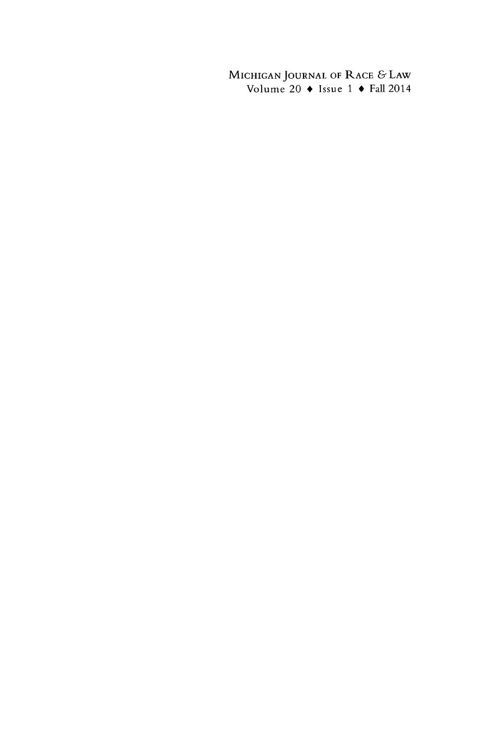MICHIGAN **JOURNAL** OF RACE **&** LAW Volume 20 **\*** Issue **1 \* Fall 2014**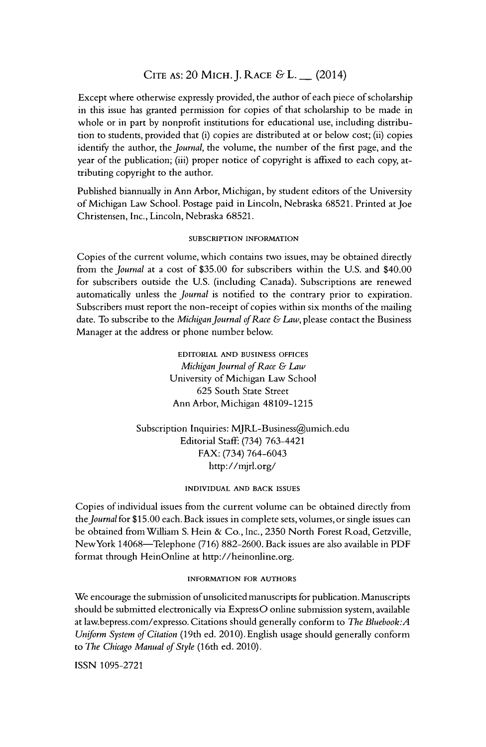## **CITE AS:** 20 MICH.J. RACE & L. **-** (2014)

Except where otherwise expressly provided, the author of each piece of scholarship in this issue has granted permission for copies of that scholarship to be made in whole or in part by nonprofit institutions for educational use, including distribution to students, provided that (i) copies are distributed at or below cost; (ii) copies identify the author, the *Journal,* the volume, the number of the first page, and the year of the publication; (iii) proper notice of copyright is affixed to each copy, attributing copyright to the author.

Published biannually in Ann Arbor, Michigan, by student editors of the University of Michigan Law School. Postage paid in Lincoln, Nebraska 68521. Printed at Joe Christensen, Inc., Lincoln, Nebraska 68521.

#### SUBSCRIPTION **INFORMATION**

Copies of the current volume, which contains two issues, may be obtained directly from the *Journal* at a cost of \$35.00 for subscribers within the U.S. and \$40.00 for subscribers outside the U.S. (including Canada). Subscriptions are renewed automatically unless the *Journal* is notified to the contrary prior to expiration. Subscribers must report the non-receipt of copies within six months of the mailing date. To subscribe to the *Michigan Journal of Race & Law,* please contact the Business Manager at the address or phone number below.

> EDITORIAL **AND BUSINESS OFFICES** *Michigan Journal of Race & Law* University of Michigan Law School 625 South State Street Ann Arbor, Michigan 48109-1215

Subscription Inquiries: MJRL-Business@umich.edu Editorial Staff. (734) 763-4421 FAX: (734) 764-6043 http://mjrl.org/

#### INDIVIDUAL **AND** BACK **ISSUES**

Copies of individual issues from the current volume can be obtained directly from *the Journal* for \$15.00 each. Back issues in complete sets, volumes, or single issues can be obtained from William S. Hein & Co., Inc., 2350 North Forest Road, Getzville, NewYork 14068-Telephone (716) 882-2600. Back issues are also available in PDF format through HeinOnline at http://heinonline.org.

#### INFORMATION **FOR AUTHORS**

We encourage the submission of unsolicited manuscripts for publication. Manuscripts should be submitted electronically via ExpressO online submission system, available at law.bepress.com/expresso. Citations should generally conform to *The Bluebook:A Uniform System of Citation* (19th ed. 2010). English usage should generally conform to *The Chicago Manual of Style* (16th ed. 2010).

ISSN 1095-2721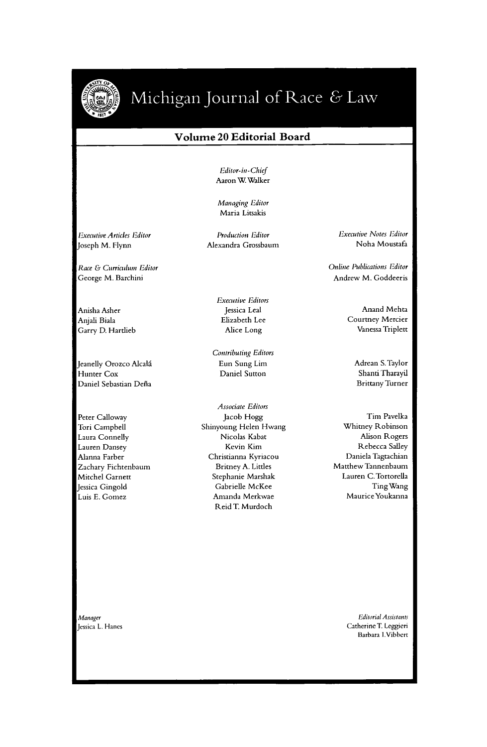

# Michigan Journal of Race & Law

#### **Volume 20 Editorial Board**

*Editor-in- Chief* Aaron W Walker

Managing *Editor* Maria Litsakis

*Executive Articles* Editor Joseph M. Flynn

Race & Curriculum Editor George M. Barchini

Anisha Asher Anjali Biala Garry D. Hartlieb

Jeanelly Orozco Alcalá Hunter Cox Daniel Sebastian Defia

Peter Calloway Tori Campbell Laura Connelly Lauren Dansey Alanna Farber Zachary Fichtenbaum Mitchel Garnett Jessica Gingold Luis **E.** Gomez

Alexandra Grossbaum

Production Editor

*Executive Editors* Jessica Leal Elizabeth Lee Alice Long

Contributing Editors Eun Sung Lim Daniel Sutton

*Associate Editors* Jacob Hogg Shinyoung Helen Hwang Nicolas Kabat Kevin Kim Christianna Kyriacou Britney A. Littles Stephanie Marshak Gabrielle McKee Amanda Merkwae Reid T. Murdoch

*Executive Notes Editor* Noha Moustafa

Online *Publications* Editor Andrew M. Goddeeris

> Anand Mehta Courtney Mercier Vanessa Triplett

> > Adrean S. Taylor Shani Tharayil Brittany Turner

Tim Pavelka Whitney Robinson Alison Rogers Rebecca Salley Daniela Tagtachian Matthew Tannenbaum Lauren C.Tortorella Ting Wang MauriceYoukanna

*Manager* Jessica L. Hanes

*Editrial Assistants* Catherine **T.** Leggieri Barbara I.Vibbert